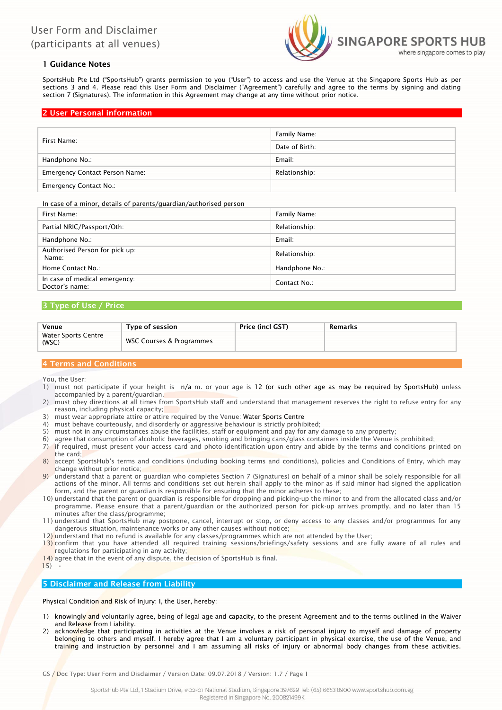

# 1 Guidance Notes

SportsHub Pte Ltd ("SportsHub") grants permission to you ("User") to access and use the Venue at the Singapore Sports Hub as per sections 3 and 4. Please read this User Form and Disclaimer ("Agreement") carefully and agree to the terms by signing and dating section 7 (Signatures). The information in this Agreement may change at any time without prior notice.

## 2 User Personal information

| First Name:                           | Family Name:   |  |  |
|---------------------------------------|----------------|--|--|
|                                       | Date of Birth: |  |  |
| Handphone No.:                        | Email:         |  |  |
| <b>Emergency Contact Person Name:</b> | Relationship:  |  |  |
| <b>Emergency Contact No.:</b>         |                |  |  |

In case of a minor, details of parents/guardian/authorised person

| First Name:                                     | Family Name:   |
|-------------------------------------------------|----------------|
| Partial NRIC/Passport/Oth:                      | Relationship:  |
| Handphone No.:                                  | Email:         |
| Authorised Person for pick up:<br>Name:         | Relationship:  |
| Home Contact No.:                               | Handphone No.: |
| In case of medical emergency:<br>Doctor's name: | Contact No.:   |

## 3 Type of Use / Price

| Venue                        | Type of session          | <b>Price (incl GST)</b> | Remarks |
|------------------------------|--------------------------|-------------------------|---------|
| Water Sports Centre<br>(WSC) | WSC Courses & Programmes |                         |         |

# 4 Terms and Conditions

You, the User:

- 1) must not participate if your height is n/a m. or your age is 12 (or such other age as may be required by SportsHub) unless accompanied by a parent/guardian.
- 2) must obey directions at all times from SportsHub staff and understand that management reserves the right to refuse entry for any reason, including physical capacity;
- 3) must wear appropriate attire or attire required by the Venue: Water Sports Centre
- 4) must behave courteously, and disorderly or aggressive behaviour is strictly prohibited;
- 5) must not in any circumstances abuse the facilities, staff or equipment and pay for any damage to any property;
- 6) agree that consumption of alcoholic beverages, smoking and bringing cans/glass containers inside the Venue is prohibited;
- 7) if required, must present your access card and photo identification upon entry and abide by the terms and conditions printed on the card;
- 8) accept SportsHub's terms and conditions (including booking terms and conditions), policies and Conditions of Entry, which may change without prior notice;
- 9) understand that a parent or guardian who completes Section 7 (Signatures) on behalf of a minor shall be solely responsible for all actions of the minor. All terms and conditions set out herein shall apply to the minor as if said minor had signed the application form, and the parent or guardian is responsible for ensuring that the minor adheres to these;
- 10) understand that the parent or guardian is responsible for dropping and picking-up the minor to and from the allocated class and/or programme. Please ensure that a parent/guardian or the authorized person for pick-up arrives promptly, and no later than 15 minutes after the class/programme;
- 11) understand that SportsHub may postpone, cancel, interrupt or stop, or deny access to any classes and/or programmes for any dangerous situation, maintenance works or any other causes without notice;
- 12) understand that no refund is available for any classes/programmes which are not attended by the User;
- 13) confirm that you have attended all required training sessions/briefings/safety sessions and are fully aware of all rules and regulations for participating in any activity;
- 14) agree that in the event of any dispute, the decision of SportsHub is final.
- $15)$

# 5 Disclaimer and Release from Liability

Physical Condition and Risk of Injury: I, the User, hereby:

- 1) knowingly and voluntarily agree, being of legal age and capacity, to the present Agreement and to the terms outlined in the Waiver and Release from Liability.
- acknowledge that participating in activities at the Venue involves a risk of personal injury to myself and damage of property belonging to others and myself. I hereby agree that I am a voluntary participant in physical exercise, the use of the Venue, and training and instruction by personnel and I am assuming all risks of injury or abnormal body changes from these activities.

GS / Doc Type: User Form and Disclaimer / Version Date: 09.07.2018 / Version: 1.7 / Page 1